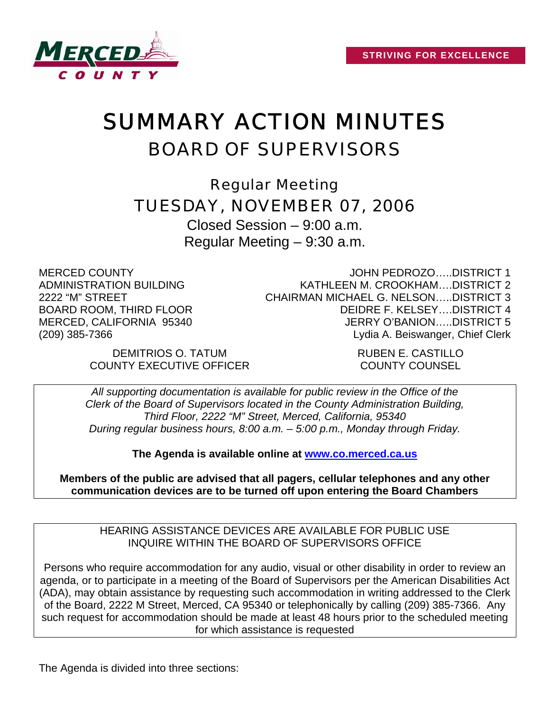

# SUMMARY ACTION MINUTES BOARD OF SUPERVISORS

Regular Meeting TUESDAY, NOVEMBER 07, 2006

Closed Session – 9:00 a.m. Regular Meeting – 9:30 a.m.

MERCED COUNTY ADMINISTRATION BUILDING 2222 "M" STREET BOARD ROOM, THIRD FLOOR MERCED, CALIFORNIA 95340 (209) 385-7366

JOHN PEDROZO…..DISTRICT 1 KATHLEEN M. CROOKHAM….DISTRICT 2 CHAIRMAN MICHAEL G. NELSON…..DISTRICT 3 DEIDRE F. KELSEY….DISTRICT 4 JERRY O'BANION…..DISTRICT 5 Lydia A. Beiswanger, Chief Clerk

DEMITRIOS O. TATUM **Example 20 Final Property** RUBEN E. CASTILLO COUNTY EXECUTIVE OFFICER COUNTY COUNSEL

*All supporting documentation is available for public review in the Office of the Clerk of the Board of Supervisors located in the County Administration Building, Third Floor, 2222 "M" Street, Merced, California, 95340 During regular business hours, 8:00 a.m. – 5:00 p.m., Monday through Friday.* 

**The Agenda is available online at [www.co.merced.ca.us](http://www.co.merced.ca.us/)**

**Members of the public are advised that all pagers, cellular telephones and any other communication devices are to be turned off upon entering the Board Chambers**

HEARING ASSISTANCE DEVICES ARE AVAILABLE FOR PUBLIC USE INQUIRE WITHIN THE BOARD OF SUPERVISORS OFFICE

Persons who require accommodation for any audio, visual or other disability in order to review an agenda, or to participate in a meeting of the Board of Supervisors per the American Disabilities Act (ADA), may obtain assistance by requesting such accommodation in writing addressed to the Clerk of the Board, 2222 M Street, Merced, CA 95340 or telephonically by calling (209) 385-7366. Any such request for accommodation should be made at least 48 hours prior to the scheduled meeting for which assistance is requested

The Agenda is divided into three sections: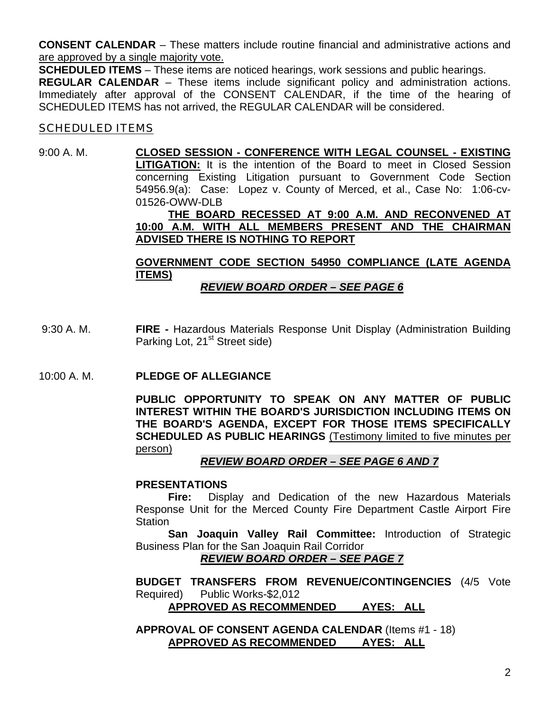**CONSENT CALENDAR** – These matters include routine financial and administrative actions and are approved by a single majority vote.

**SCHEDULED ITEMS** – These items are noticed hearings, work sessions and public hearings.

**REGULAR CALENDAR** – These items include significant policy and administration actions. Immediately after approval of the CONSENT CALENDAR, if the time of the hearing of SCHEDULED ITEMS has not arrived, the REGULAR CALENDAR will be considered.

# **SCHEDULED ITEMS**

# 9:00 A. M. **CLOSED SESSION - CONFERENCE WITH LEGAL COUNSEL - EXISTING LITIGATION:** It is the intention of the Board to meet in Closed Session concerning Existing Litigation pursuant to Government Code Section 54956.9(a): Case: Lopez v. County of Merced, et al., Case No: 1:06-cv-01526-OWW-DLB

### **THE BOARD RECESSED AT 9:00 A.M. AND RECONVENED AT 10:00 A.M. WITH ALL MEMBERS PRESENT AND THE CHAIRMAN ADVISED THERE IS NOTHING TO REPORT**

# **GOVERNMENT CODE SECTION 54950 COMPLIANCE (LATE AGENDA ITEMS)**

# *REVIEW BOARD ORDER – SEE PAGE 6*

- 9:30 A. M. **FIRE** Hazardous Materials Response Unit Display (Administration Building Parking Lot, 21<sup>st</sup> Street side)
- 10:00 A. M. **PLEDGE OF ALLEGIANCE**

**PUBLIC OPPORTUNITY TO SPEAK ON ANY MATTER OF PUBLIC INTEREST WITHIN THE BOARD'S JURISDICTION INCLUDING ITEMS ON THE BOARD'S AGENDA, EXCEPT FOR THOSE ITEMS SPECIFICALLY SCHEDULED AS PUBLIC HEARINGS** (Testimony limited to five minutes per person)

## *REVIEW BOARD ORDER – SEE PAGE 6 AND 7*

#### **PRESENTATIONS**

 **Fire:** Display and Dedication of the new Hazardous Materials Response Unit for the Merced County Fire Department Castle Airport Fire **Station** 

**San Joaquin Valley Rail Committee:** Introduction of Strategic Business Plan for the San Joaquin Rail Corridor

#### *REVIEW BOARD ORDER – SEE PAGE 7*

**BUDGET TRANSFERS FROM REVENUE/CONTINGENCIES** (4/5 Vote Required) Public Works-\$2,012

**APPROVED AS RECOMMENDED AYES: ALL**

**APPROVAL OF CONSENT AGENDA CALENDAR** (Items #1 - 18) **APPROVED AS RECOMMENDED AYES: ALL**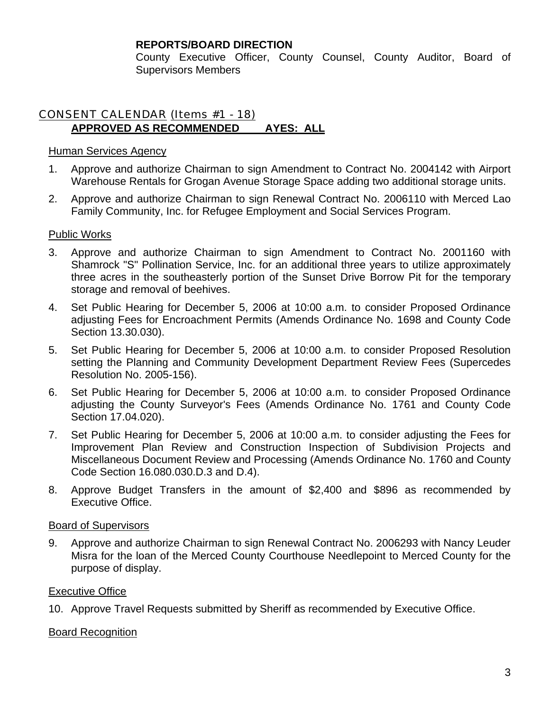County Executive Officer, County Counsel, County Auditor, Board of Supervisors Members

# CONSENT CALENDAR (Items #1 - 18) **APPROVED AS RECOMMENDED AYES: ALL**

## Human Services Agency

- 1. Approve and authorize Chairman to sign Amendment to Contract No. 2004142 with Airport Warehouse Rentals for Grogan Avenue Storage Space adding two additional storage units.
- 2. Approve and authorize Chairman to sign Renewal Contract No. 2006110 with Merced Lao Family Community, Inc. for Refugee Employment and Social Services Program.

# Public Works

- 3. Approve and authorize Chairman to sign Amendment to Contract No. 2001160 with Shamrock "S" Pollination Service, Inc. for an additional three years to utilize approximately three acres in the southeasterly portion of the Sunset Drive Borrow Pit for the temporary storage and removal of beehives.
- 4. Set Public Hearing for December 5, 2006 at 10:00 a.m. to consider Proposed Ordinance adjusting Fees for Encroachment Permits (Amends Ordinance No. 1698 and County Code Section 13.30.030).
- 5. Set Public Hearing for December 5, 2006 at 10:00 a.m. to consider Proposed Resolution setting the Planning and Community Development Department Review Fees (Supercedes Resolution No. 2005-156).
- 6. Set Public Hearing for December 5, 2006 at 10:00 a.m. to consider Proposed Ordinance adjusting the County Surveyor's Fees (Amends Ordinance No. 1761 and County Code Section 17.04.020).
- 7. Set Public Hearing for December 5, 2006 at 10:00 a.m. to consider adjusting the Fees for Improvement Plan Review and Construction Inspection of Subdivision Projects and Miscellaneous Document Review and Processing (Amends Ordinance No. 1760 and County Code Section 16.080.030.D.3 and D.4).
- 8. Approve Budget Transfers in the amount of \$2,400 and \$896 as recommended by Executive Office.

# Board of Supervisors

9. Approve and authorize Chairman to sign Renewal Contract No. 2006293 with Nancy Leuder Misra for the loan of the Merced County Courthouse Needlepoint to Merced County for the purpose of display.

## Executive Office

10. Approve Travel Requests submitted by Sheriff as recommended by Executive Office.

## Board Recognition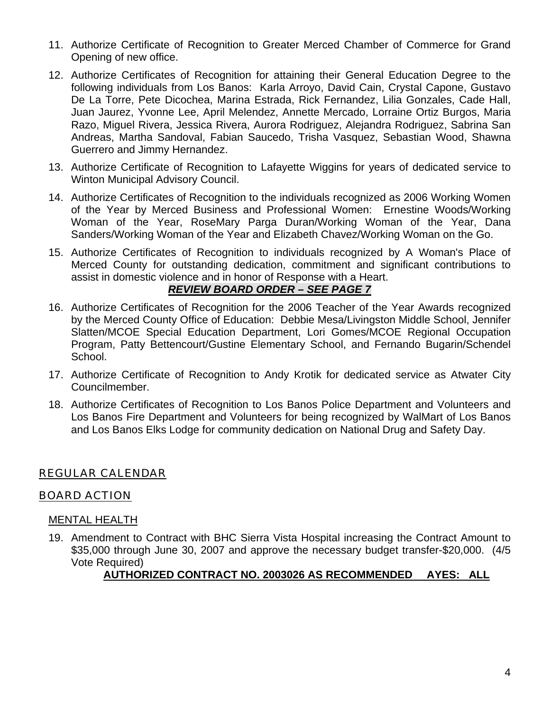- 11. Authorize Certificate of Recognition to Greater Merced Chamber of Commerce for Grand Opening of new office.
- 12. Authorize Certificates of Recognition for attaining their General Education Degree to the following individuals from Los Banos: Karla Arroyo, David Cain, Crystal Capone, Gustavo De La Torre, Pete Dicochea, Marina Estrada, Rick Fernandez, Lilia Gonzales, Cade Hall, Juan Jaurez, Yvonne Lee, April Melendez, Annette Mercado, Lorraine Ortiz Burgos, Maria Razo, Miguel Rivera, Jessica Rivera, Aurora Rodriguez, Alejandra Rodriguez, Sabrina San Andreas, Martha Sandoval, Fabian Saucedo, Trisha Vasquez, Sebastian Wood, Shawna Guerrero and Jimmy Hernandez.
- 13. Authorize Certificate of Recognition to Lafayette Wiggins for years of dedicated service to Winton Municipal Advisory Council.
- 14. Authorize Certificates of Recognition to the individuals recognized as 2006 Working Women of the Year by Merced Business and Professional Women: Ernestine Woods/Working Woman of the Year, RoseMary Parga Duran/Working Woman of the Year, Dana Sanders/Working Woman of the Year and Elizabeth Chavez/Working Woman on the Go.
- 15. Authorize Certificates of Recognition to individuals recognized by A Woman's Place of Merced County for outstanding dedication, commitment and significant contributions to assist in domestic violence and in honor of Response with a Heart.

## *REVIEW BOARD ORDER – SEE PAGE 7*

- 16. Authorize Certificates of Recognition for the 2006 Teacher of the Year Awards recognized by the Merced County Office of Education: Debbie Mesa/Livingston Middle School, Jennifer Slatten/MCOE Special Education Department, Lori Gomes/MCOE Regional Occupation Program, Patty Bettencourt/Gustine Elementary School, and Fernando Bugarin/Schendel School.
- 17. Authorize Certificate of Recognition to Andy Krotik for dedicated service as Atwater City Councilmember.
- 18. Authorize Certificates of Recognition to Los Banos Police Department and Volunteers and Los Banos Fire Department and Volunteers for being recognized by WalMart of Los Banos and Los Banos Elks Lodge for community dedication on National Drug and Safety Day.

# REGULAR CALENDAR

# BOARD ACTION

## MENTAL HEALTH

19. Amendment to Contract with BHC Sierra Vista Hospital increasing the Contract Amount to \$35,000 through June 30, 2007 and approve the necessary budget transfer-\$20,000. (4/5 Vote Required)

# **AUTHORIZED CONTRACT NO. 2003026 AS RECOMMENDED AYES: ALL**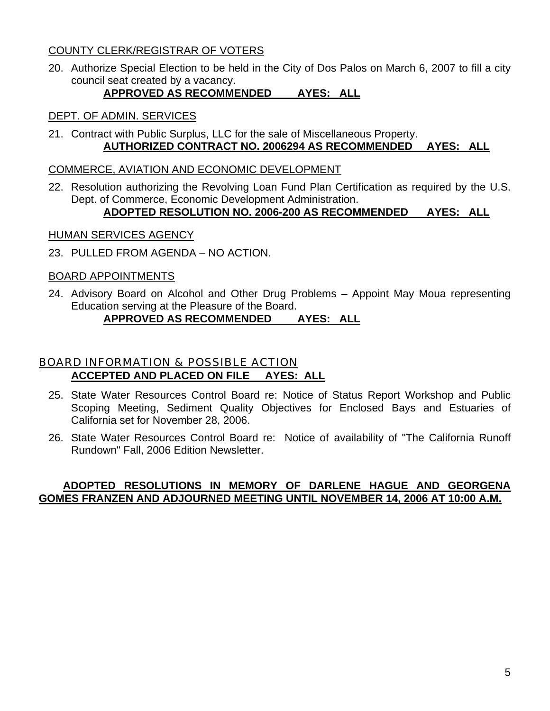# COUNTY CLERK/REGISTRAR OF VOTERS

20. Authorize Special Election to be held in the City of Dos Palos on March 6, 2007 to fill a city council seat created by a vacancy.

# **APPROVED AS RECOMMENDED AYES: ALL**

### DEPT. OF ADMIN. SERVICES

21. Contract with Public Surplus, LLC for the sale of Miscellaneous Property. **AUTHORIZED CONTRACT NO. 2006294 AS RECOMMENDED AYES: ALL**

#### COMMERCE, AVIATION AND ECONOMIC DEVELOPMENT

22. Resolution authorizing the Revolving Loan Fund Plan Certification as required by the U.S. Dept. of Commerce, Economic Development Administration.

# **ADOPTED RESOLUTION NO. 2006-200 AS RECOMMENDED AYES: ALL**

#### HUMAN SERVICES AGENCY

23. PULLED FROM AGENDA – NO ACTION.

#### BOARD APPOINTMENTS

24. Advisory Board on Alcohol and Other Drug Problems – Appoint May Moua representing Education serving at the Pleasure of the Board.

## **APPROVED AS RECOMMENDED AYES: ALL**

# BOARD INFORMATION & POSSIBLE ACTION **ACCEPTED AND PLACED ON FILE AYES: ALL**

- 25. State Water Resources Control Board re: Notice of Status Report Workshop and Public Scoping Meeting, Sediment Quality Objectives for Enclosed Bays and Estuaries of California set for November 28, 2006.
- 26. State Water Resources Control Board re: Notice of availability of "The California Runoff Rundown" Fall, 2006 Edition Newsletter.

## **ADOPTED RESOLUTIONS IN MEMORY OF DARLENE HAGUE AND GEORGENA GOMES FRANZEN AND ADJOURNED MEETING UNTIL NOVEMBER 14, 2006 AT 10:00 A.M.**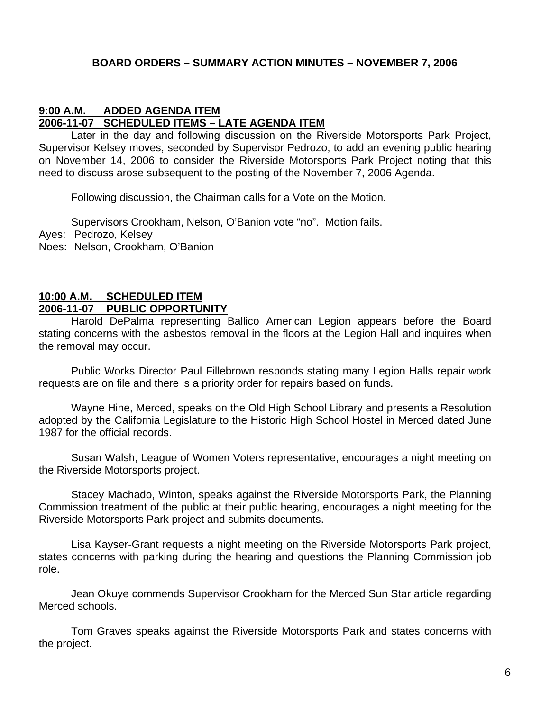# **BOARD ORDERS – SUMMARY ACTION MINUTES – NOVEMBER 7, 2006**

# **9:00 A.M. ADDED AGENDA ITEM 2006-11-07 SCHEDULED ITEMS – LATE AGENDA ITEM**

Later in the day and following discussion on the Riverside Motorsports Park Project, Supervisor Kelsey moves, seconded by Supervisor Pedrozo, to add an evening public hearing on November 14, 2006 to consider the Riverside Motorsports Park Project noting that this need to discuss arose subsequent to the posting of the November 7, 2006 Agenda.

Following discussion, the Chairman calls for a Vote on the Motion.

 Supervisors Crookham, Nelson, O'Banion vote "no". Motion fails. Ayes: Pedrozo, Kelsey Noes: Nelson, Crookham, O'Banion

### **10:00 A.M. SCHEDULED ITEM 2006-11-07 PUBLIC OPPORTUNITY**

Harold DePalma representing Ballico American Legion appears before the Board stating concerns with the asbestos removal in the floors at the Legion Hall and inquires when the removal may occur.

 Public Works Director Paul Fillebrown responds stating many Legion Halls repair work requests are on file and there is a priority order for repairs based on funds.

 Wayne Hine, Merced, speaks on the Old High School Library and presents a Resolution adopted by the California Legislature to the Historic High School Hostel in Merced dated June 1987 for the official records.

 Susan Walsh, League of Women Voters representative, encourages a night meeting on the Riverside Motorsports project.

 Stacey Machado, Winton, speaks against the Riverside Motorsports Park, the Planning Commission treatment of the public at their public hearing, encourages a night meeting for the Riverside Motorsports Park project and submits documents.

 Lisa Kayser-Grant requests a night meeting on the Riverside Motorsports Park project, states concerns with parking during the hearing and questions the Planning Commission job role.

 Jean Okuye commends Supervisor Crookham for the Merced Sun Star article regarding Merced schools.

 Tom Graves speaks against the Riverside Motorsports Park and states concerns with the project.